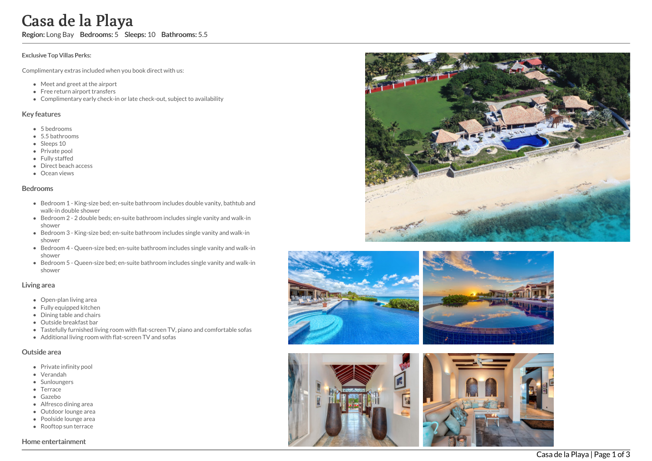# Casa de la Playa

Region: Long Bay Bedrooms: 5 Sleeps: 10 Bathrooms: 5.5

#### Exclusive Top Villas Perks:

Complimentary extras included when you book direct with us:

- Meet and greet at the airport
- Free return airport transfers
- Complimentary early check-in or late check-out, subject to availability

### Key features

- 5 b e d r o o m s
- 5.5 bathrooms
- Sleeps 10
- Private pool
- Fully staffed
- Direct beach access
- Ocean views

#### **Bedrooms**

- Bedroom 1 King-size bed; en-suite bathroom includes double vanity, bathtub and walk-in double shower
- Bedroom 2 2 double beds; en-suite bathroom includes single vanity and walk-in s h o w e r
- Bedroom 3 King-size bed; en-suite bathroom includes single vanity and walk-in s h o w e r
- Bedroom 4 Queen-size bed; en-suite bathroom includes single vanity and walk-in s h o w e r
- Bedroom 5 Queen-size bed; en-suite bathroom includes single vanity and walk-in s h o w e r

#### Living area

- Open-plan living area
- Fully equipped kitchen
- Dining table and chairs
- Outside breakfast bar
- Tastefully furnished living room with flat-screen TV, piano and comfortable sofas
- Additional living room with flat-screen TV and sofas

## Outside area

- Private infinity pool
- Verandah
- Sunloungers
- Terrace
- Gazebo
- Alfresco dining area
- Outdoor lounge are a
- Poolside lounge area
- Rooftop sun terrace

## Home entertainment





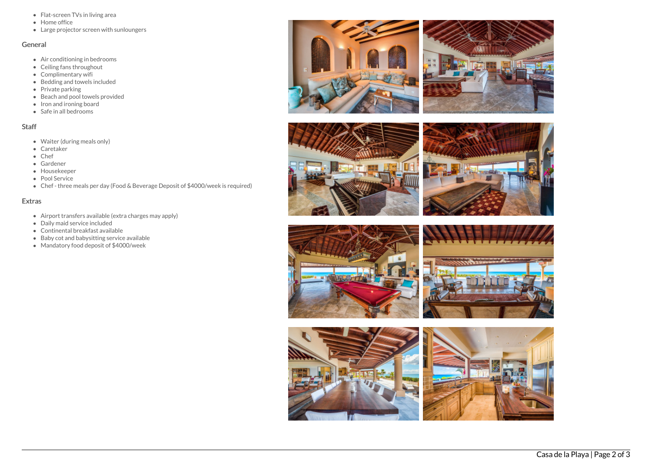- Flat-screen TVs in living area
- Home office
- Large projector screen with sunloungers

## General

- Air conditioning in bedrooms
- Ceiling fans throughout
- Complimentary wifi
- Bedding and towels included
- Private parking
- Beach and pool towels provided
- $\bullet$  Iron and ironing board
- Safe in all bedrooms

# Staff

- Waiter (during meals only)
- Caretaker
- Chef
- Gardener
- Housekeeper
- Pool Service
- Chef three meals per day (Food & Beverage Deposit of \$4000/week is required)

## Extras

- Airport transfers available (extra charges may apply)
- Daily maid service included
- Continental breakfast available
- Baby cot and babysitting service available
- Mandatory food deposit of \$4000/week